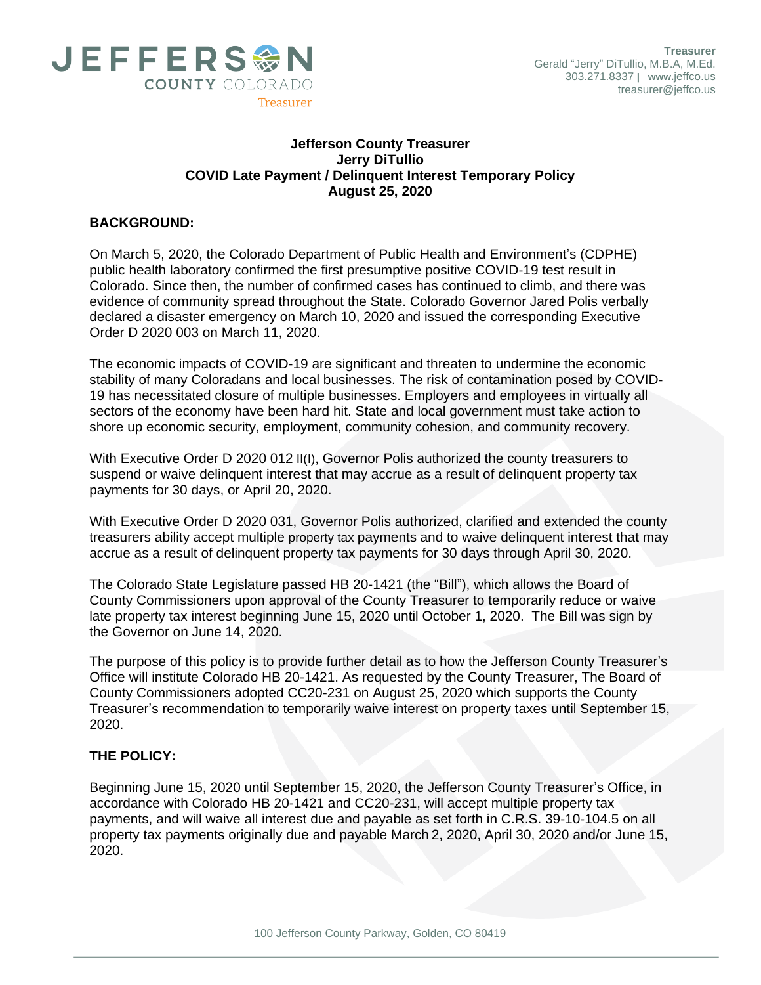

## **Jefferson County Treasurer Jerry DiTullio COVID Late Payment / Delinquent Interest Temporary Policy August 25, 2020**

## **BACKGROUND:**

On March 5, 2020, the Colorado Department of Public Health and Environment's (CDPHE) public health laboratory confirmed the first presumptive positive COVID-19 test result in Colorado. Since then, the number of confirmed cases has continued to climb, and there was evidence of community spread throughout the State. Colorado Governor Jared Polis verbally declared a disaster emergency on March 10, 2020 and issued the corresponding Executive Order D 2020 003 on March 11, 2020.

The economic impacts of COVID-19 are significant and threaten to undermine the economic stability of many Coloradans and local businesses. The risk of contamination posed by COVID-19 has necessitated closure of multiple businesses. Employers and employees in virtually all sectors of the economy have been hard hit. State and local government must take action to shore up economic security, employment, community cohesion, and community recovery.

With Executive Order D 2020 012 II(I), Governor Polis authorized the county treasurers to suspend or waive delinquent interest that may accrue as a result of delinquent property tax payments for 30 days, or April 20, 2020.

With Executive Order D 2020 031, Governor Polis authorized, clarified and extended the county treasurers ability accept multiple property tax payments and to waive delinquent interest that may accrue as a result of delinquent property tax payments for 30 days through April 30, 2020.

The Colorado State Legislature passed HB 20-1421 (the "Bill"), which allows the Board of County Commissioners upon approval of the County Treasurer to temporarily reduce or waive late property tax interest beginning June 15, 2020 until October 1, 2020. The Bill was sign by the Governor on June 14, 2020.

The purpose of this policy is to provide further detail as to how the Jefferson County Treasurer's Office will institute Colorado HB 20-1421. As requested by the County Treasurer, The Board of County Commissioners adopted CC20-231 on August 25, 2020 which supports the County Treasurer's recommendation to temporarily waive interest on property taxes until September 15, 2020.

## **THE POLICY:**

Beginning June 15, 2020 until September 15, 2020, the Jefferson County Treasurer's Office, in accordance with Colorado HB 20-1421 and CC20-231, will accept multiple property tax payments, and will waive all interest due and payable as set forth in C.R.S. 39-10-104.5 on all property tax payments originally due and payable March 2, 2020, April 30, 2020 and/or June 15, 2020.